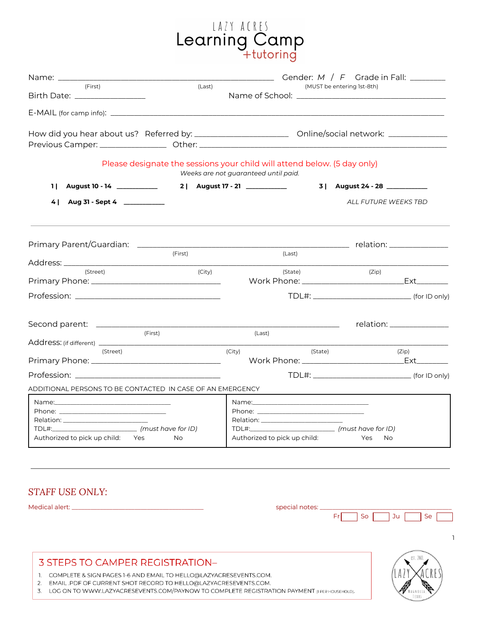# LAZY ACRES<br>Learning Camp<br>+tutoring

| (First)<br>(Last)<br>Birth Date: _________________                                                                                                                                                                            |                                                                                            | (MUST be entering 1st-8th)         |                           |
|-------------------------------------------------------------------------------------------------------------------------------------------------------------------------------------------------------------------------------|--------------------------------------------------------------------------------------------|------------------------------------|---------------------------|
|                                                                                                                                                                                                                               |                                                                                            |                                    |                           |
| How did you hear about us? Referred by: ____________________________ Online/social network: ______________                                                                                                                    |                                                                                            |                                    |                           |
| Please designate the sessions your child will attend below. (5 day only)                                                                                                                                                      | Weeks are not guaranteed until paid.                                                       |                                    |                           |
| August 10 - 14 ____________<br>11                                                                                                                                                                                             |                                                                                            | 3   August 24 - 28 <u>________</u> |                           |
| 4   Aug 31 - Sept 4   ___________                                                                                                                                                                                             |                                                                                            | ALL FUTURE WEEKS TBD               |                           |
|                                                                                                                                                                                                                               |                                                                                            |                                    |                           |
| (First)                                                                                                                                                                                                                       | (Last)                                                                                     |                                    |                           |
| (Street)<br>(City)                                                                                                                                                                                                            | (State)                                                                                    | (Zip)                              |                           |
|                                                                                                                                                                                                                               |                                                                                            |                                    |                           |
|                                                                                                                                                                                                                               |                                                                                            |                                    | relation: _______________ |
| (First)                                                                                                                                                                                                                       | (Last)                                                                                     |                                    |                           |
| (Street)                                                                                                                                                                                                                      | (City)<br>(State)                                                                          |                                    | (Zip)                     |
| Profession: with the contract of the contract of the contract of the contract of the contract of the contract of the contract of the contract of the contract of the contract of the contract of the contract of the contract |                                                                                            |                                    |                           |
| ADDITIONAL PERSONS TO BE CONTACTED IN CASE OF AN EMERGENCY.                                                                                                                                                                   |                                                                                            |                                    |                           |
| Authorized to pick up child: Yes<br><b>No</b>                                                                                                                                                                                 | TDL#:__________________________________ (must have for ID)<br>Authorized to pick up child: | Yes<br>No.                         |                           |

#### *STAFF USE ONLY:*

Medical alert: \_\_\_\_\_\_\_\_\_\_\_\_\_\_\_\_\_\_\_\_\_\_\_\_\_\_\_\_\_\_\_\_\_\_\_\_\_\_\_\_\_\_ special notes: \_\_\_\_\_\_\_\_\_\_\_\_\_\_\_\_\_\_\_\_\_\_\_\_\_\_\_\_\_\_\_\_\_\_\_\_\_\_\_\_\_\_

| $\sim$ |  |  |
|--------|--|--|
|        |  |  |

## 3 STEPS TO CAMPER REGISTRATION-

1. COMPLETE & SIGN PAGES 1-6 AND EMAIL TO HELLO@LAZYACRESEVENTS.COM.

2. EMAIL .PDF OF CURRENT SHOT RECORD TO HELLO@LAZYACRESEVENTS.COM.

3. LOG ON TO WWW.LAZYACRESEVENTS.COM/PAYNOW TO COMPLETE REGISTRATION PAYMENT (I PER HOUSEHOLD).

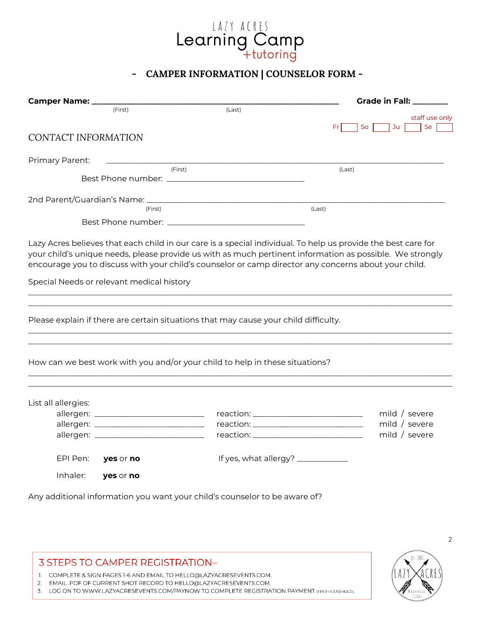

#### **- CAMPER INFORMATION | COUNSELOR FORM -**

| Camper Name: _                                                                                       |         | <b>Grade in Fall: ________</b>                                                                                |
|------------------------------------------------------------------------------------------------------|---------|---------------------------------------------------------------------------------------------------------------|
| (First)                                                                                              | (Last)  |                                                                                                               |
|                                                                                                      |         | staff use only<br>Ju<br>So<br>Fr                                                                              |
| <b>CONTACT INFORMATION</b>                                                                           |         | Se                                                                                                            |
|                                                                                                      |         |                                                                                                               |
| Primary Parent:                                                                                      |         |                                                                                                               |
|                                                                                                      | (First) | (Last)                                                                                                        |
|                                                                                                      |         |                                                                                                               |
|                                                                                                      |         |                                                                                                               |
| (First)                                                                                              |         | (Last)                                                                                                        |
|                                                                                                      |         |                                                                                                               |
|                                                                                                      |         |                                                                                                               |
|                                                                                                      |         | Lazy Acres believes that each child in our care is a special individual. To help us provide the best care for |
|                                                                                                      |         | your child's unique needs, please provide us with as much pertinent information as possible. We strongly      |
| encourage you to discuss with your child's counselor or camp director any concerns about your child. |         |                                                                                                               |
|                                                                                                      |         |                                                                                                               |
| Special Needs or relevant medical history                                                            |         |                                                                                                               |
|                                                                                                      |         |                                                                                                               |
|                                                                                                      |         |                                                                                                               |
| Please explain if there are certain situations that may cause your child difficulty.                 |         |                                                                                                               |
|                                                                                                      |         |                                                                                                               |
|                                                                                                      |         |                                                                                                               |
|                                                                                                      |         |                                                                                                               |
| How can we best work with you and/or your child to help in these situations?                         |         |                                                                                                               |
|                                                                                                      |         |                                                                                                               |
|                                                                                                      |         |                                                                                                               |
| List all allergies:                                                                                  |         |                                                                                                               |
|                                                                                                      |         | mild / severe                                                                                                 |
|                                                                                                      |         | mild / severe                                                                                                 |
|                                                                                                      |         | mild / severe                                                                                                 |
|                                                                                                      |         |                                                                                                               |
| EPI Pen:<br>yes or no                                                                                |         |                                                                                                               |
|                                                                                                      |         |                                                                                                               |
| Inhaler:<br>yes or no                                                                                |         |                                                                                                               |
|                                                                                                      |         |                                                                                                               |

Any additional information you want your child's counselor to be aware of?

#### **3 STEPS TO CAMPER REGISTRATION-**

1. COMPLETE & SIGN PAGES 1-6 AND EMAIL TO HELLO@LAZYACRESEVENTS.COM.

2. EMAIL .PDF OF CURRENT SHOT RECORD TO HELLO@LAZYACRESEVENTS.COM.

3. LOG ON TO WWW.LAZYACRESEVENTS.COM/PAYNOW TO COMPLETE REGISTRATION PAYMENT (I PER HOUSEHOLD).

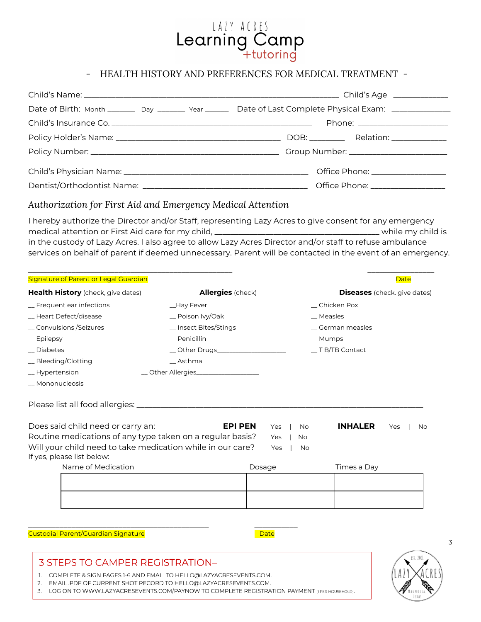

#### - HEALTH HISTORY AND PREFERENCES FOR MEDICAL TREATMENT -

| Date of Birth: Month _________ Day _________ Year ________ Date of Last Complete Physical Exam: ______________ |
|----------------------------------------------------------------------------------------------------------------|
| Phone: _________________________                                                                               |
| DOB: ____________ Relation: _______________                                                                    |
|                                                                                                                |
| Office Phone: __________________                                                                               |
| Office Phone: ___________________                                                                              |

#### *Authorization for First Aid and Emergency Medical Attention*

I hereby authorize the Director and/or Staff, representing Lazy Acres to give consent for any emergency medical attention or First Aid care for my child, \_\_\_\_\_\_\_\_\_\_\_\_\_\_\_\_\_\_\_\_\_\_\_\_\_\_\_\_\_\_\_\_\_\_\_\_\_\_\_\_\_\_ while my child is in the custody of Lazy Acres. I also agree to allow Lazy Acres Director and/or staff to refuse ambulance services on behalf of parent if deemed unnecessary. Parent will be contacted in the event of an emergency.

| Signature of Parent or Legal Guardian                                                    |                                      |            |                             | <b>Date</b>                         |
|------------------------------------------------------------------------------------------|--------------------------------------|------------|-----------------------------|-------------------------------------|
| Health History (check, give dates)                                                       | <b>Allergies</b> (check)             |            |                             | <b>Diseases</b> (check. give dates) |
| _ Frequent ear infections                                                                | _Hay Fever                           |            | Chicken Pox                 |                                     |
| _ Heart Defect/disease                                                                   | $\equiv$ Poison Ivy/Oak              |            | $\_$ Measles                |                                     |
| _ Convulsions / Seizures                                                                 | _Insect Bites/Stings                 |            | _ German measles            |                                     |
| $=$ Epilepsy                                                                             | Penicillin                           |            | $\_$ Mumps                  |                                     |
| Diabetes                                                                                 |                                      |            | $\_$ T B/TB Contact         |                                     |
| _ Bleeding/Clotting                                                                      | Asthma                               |            |                             |                                     |
| _Hypertension                                                                            | _ Other Allergies___________________ |            |                             |                                     |
| Mononucleosis                                                                            |                                      |            |                             |                                     |
| Does said child need or carry an:                                                        | <b>EPI PEN</b>                       | Yes        | <b>INHALER</b><br><b>No</b> | Yes<br>No                           |
| Routine medications of any type taken on a regular basis?                                |                                      | Yes        | <b>No</b>                   |                                     |
| Will your child need to take medication while in our care?<br>If yes, please list below: |                                      | <b>Yes</b> | No.                         |                                     |
| Name of Medication                                                                       |                                      | Dosage     | Times a Day                 |                                     |
|                                                                                          |                                      |            |                             |                                     |
|                                                                                          |                                      |            |                             |                                     |
|                                                                                          |                                      |            |                             |                                     |
|                                                                                          |                                      |            |                             |                                     |

**Custodial Parent/Guardian Signature** Date Date Date

#### **3 STEPS TO CAMPER REGISTRATION-**

1. COMPLETE & SIGN PAGES 1-6 AND EMAIL TO HELLO@LAZYACRESEVENTS.COM.

\_\_\_\_\_\_\_\_\_\_\_\_\_\_\_\_\_\_\_\_\_\_\_\_\_\_\_\_\_\_\_\_\_\_\_\_\_\_\_\_\_\_\_\_\_\_ \_\_\_\_\_\_\_\_\_\_\_

2. EMAIL.PDF OF CURRENT SHOT RECORD TO HELLO@LAZYACRESEVENTS.COM.

3. LOG ON TO WWW.LAZYACRESEVENTS.COM/PAYNOW TO COMPLETE REGISTRATION PAYMENT (I PER HOUSEHOLD).

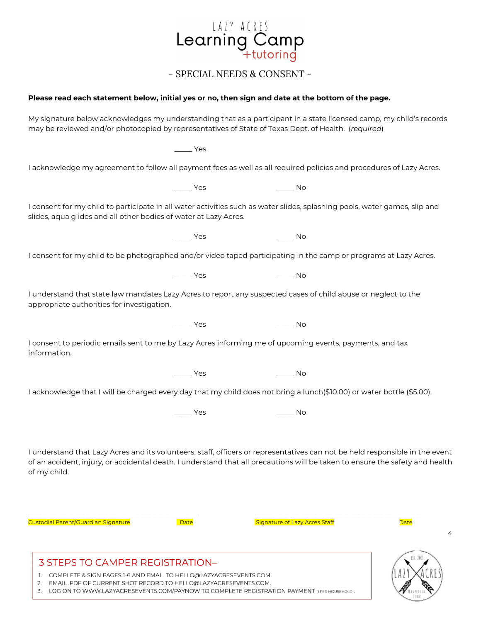

- SPECIAL NEEDS & CONSENT -

#### Please read each statement below, initial yes or no, then sign and date at the bottom of the page.

My signature below acknowledges my understanding that as a participant in a state licensed camp, my child's records may be reviewed and/or photocopied by representatives of State of Texas Dept. of Health. (*required*)

\_\_\_\_\_ Yes I acknowledge my agreement to follow all payment fees as well as all required policies and procedures of Lazy Acres. \_\_\_\_\_ Yes \_\_\_\_\_ No I consent for my child to participate in all water activities such as water slides, splashing pools, water games, slip and slides, aqua glides and all other bodies of water at Lazy Acres. \_\_\_\_\_ Yes \_\_\_\_\_\_\_ No I consent for my child to be photographed and/or video taped participating in the camp or programs at Lazy Acres. \_\_\_\_\_ Yes \_\_\_\_\_ No I understand that state law mandates Lazy Acres to report any suspected cases of child abuse or neglect to the appropriate authorities for investigation. \_\_\_\_\_ Yes \_\_\_\_\_ No I consent to periodic emails sent to me by Lazy Acres informing me of upcoming events, payments, and tax information. \_\_\_\_\_ Yes \_\_\_\_\_ No I acknowledge that I will be charged every day that my child does not bring a lunch(\$10.00) or water bottle (\$5.00).  $Yes$  No

I understand that Lazy Acres and its volunteers, staff, officers or representatives can not be held responsible in the event of an accident, injury, or accidental death. I understand that all precautions will be taken to ensure the safety and health of my child.

\_\_\_\_\_\_\_\_\_\_\_\_\_\_\_\_\_\_\_\_\_\_\_\_\_\_\_\_\_\_\_\_\_\_\_\_\_\_\_\_\_\_\_ \_\_\_\_\_\_\_\_\_\_\_\_\_\_\_\_\_\_\_\_\_\_\_\_\_\_\_\_\_\_\_\_\_\_\_\_\_\_\_\_\_\_

Custodial Parent/Guardian Signature **State State State State State State State** State Staff Custodial Pate State Date

4



**3 STEPS TO CAMPER REGISTRATION-**

1. COMPLETE & SIGN PAGES 1-6 AND EMAIL TO HELLO@LAZYACRESEVENTS.COM.

2. EMAIL.PDF OF CURRENT SHOT RECORD TO HELLO@LAZYACRESEVENTS.COM.

3. LOG ON TO WWW.LAZYACRESEVENTS.COM/PAYNOW TO COMPLETE REGISTRATION PAYMENT (I PER HOUSEHOLD).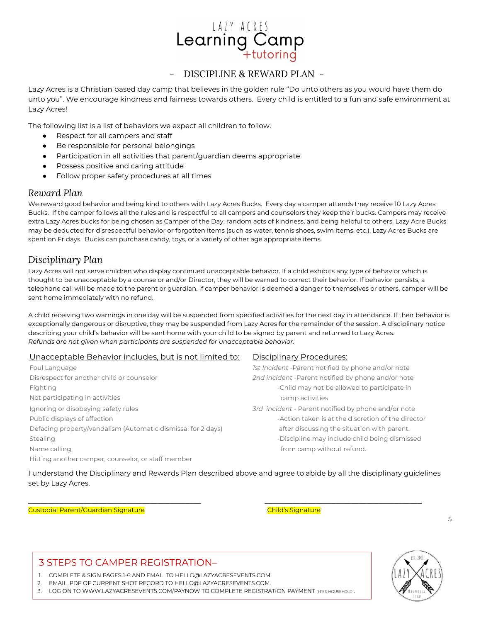## LAZY ACRES Learning Camp

#### - DISCIPLINE & REWARD PLAN -

Lazy Acres is a Christian based day camp that believes in the golden rule "Do unto others as you would have them do unto you". We encourage kindness and fairness towards others. Every child is entitled to a fun and safe environment at Lazy Acres!

The following list is a list of behaviors we expect all children to follow.

- Respect for all campers and staff
- Be responsible for personal belongings
- Participation in all activities that parent/guardian deems appropriate
- Possess positive and caring attitude
- Follow proper safety procedures at all times

#### *Reward Plan*

We reward good behavior and being kind to others with Lazy Acres Bucks. Every day a camper attends they receive 10 Lazy Acres Bucks. If the camper follows all the rules and is respectful to all campers and counselors they keep their bucks. Campers may receive extra Lazy Acres bucks for being chosen as Camper of the Day, random acts of kindness, and being helpful to others. Lazy Acre Bucks may be deducted for disrespectful behavior or forgotten items (such as water, tennis shoes, swim items, etc.). Lazy Acres Bucks are spent on Fridays. Bucks can purchase candy, toys, or a variety of other age appropriate items.

#### *Disciplinary Plan*

Lazy Acres will not serve children who display continued unacceptable behavior. If a child exhibits any type of behavior which is thought to be unacceptable by a counselor and/or Director, they will be warned to correct their behavior. If behavior persists, a telephone call will be made to the parent or guardian. If camper behavior is deemed a danger to themselves or others, camper will be sent home immediately with no refund.

A child receiving two warnings in one day will be suspended from specified activities for the next day in attendance. If their behavior is exceptionally dangerous or disruptive, they may be suspended from Lazy Acres for the remainder of the session. A disciplinary notice describing your child's behavior will be sent home with your child to be signed by parent and returned to Lazy Acres. *Refunds are not given when participants are suspended for unacceptable behavior.*

#### Unacceptable Behavior includes, but is not limited to: Disciplinary Procedures:

Foul Language *1st Incident* -Parent notified by phone and/or note Disrespect for another child or counselor *2nd incident* -Parent notified by phone and/or note Fighting **Fighting Fighting**  $\sim$  Child may not be allowed to participate in Not participating in activities camp activities Ignoring or disobeying safety rules *3rd incident* - Parent notified by phone and/or note Public displays of affection  $\blacksquare$ Defacing property/vandalism (Automatic dismissal for 2 days) after discussing the situation with parent. Stealing and the stealing of the stealing of the stealing of the stealing of the stealing dismissed being dismissed Name calling from camp without refund. Hitting another camper, counselor, or staff member

I understand the Disciplinary and Rewards Plan described above and agree to abide by all the disciplinary guidelines set by Lazy Acres.

\_\_\_\_\_\_\_\_\_\_\_\_\_\_\_\_\_\_\_\_\_\_\_\_\_\_\_\_\_\_\_\_\_\_\_\_\_\_\_\_\_\_\_\_ \_\_\_\_\_\_\_\_\_\_\_\_\_\_\_\_\_\_\_\_\_\_\_\_\_\_\_\_\_\_\_\_\_\_\_\_\_\_\_\_

Custodial Parent/Guardian Signature Child's Signature

## **3 STEPS TO CAMPER REGISTRATION-**

1. COMPLETE & SIGN PAGES 1-6 AND EMAIL TO HELLO@LAZYACRESEVENTS.COM.

2. EMAIL .PDF OF CURRENT SHOT RECORD TO HELLO@LAZYACRESEVENTS.COM.

3. LOG ON TO WWW.LAZYACRESEVENTS.COM/PAYNOW TO COMPLETE REGISTRATION PAYMENT (I PER HOUSEHOLD).

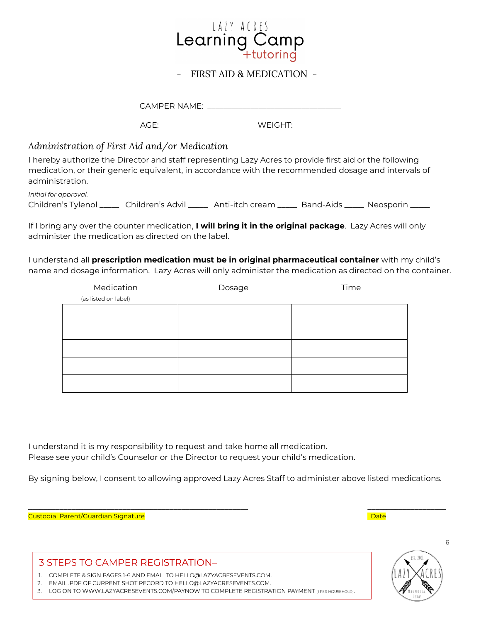

#### - FIRST AID & MEDICATION -

CAMPER NAME: \_\_\_\_\_\_\_\_\_\_\_\_\_\_\_\_\_\_\_\_\_\_\_\_\_\_\_\_\_\_\_\_\_\_

AGE: \_\_\_\_\_\_\_\_\_\_ WEIGHT: \_\_\_\_\_\_\_\_\_\_\_

#### *Administration of First Aid and/or Medication*

I hereby authorize the Director and staff representing Lazy Acres to provide first aid or the following medication, or their generic equivalent, in accordance with the recommended dosage and intervals of administration.

| Initial for approval.    |                        |                    |                                 |  |
|--------------------------|------------------------|--------------------|---------------------------------|--|
| Children's Tylenol _____ | _ Children's Advil ___ | Anti-itch cream __ | Band-Aids _____ Neosporin _____ |  |

If I bring any over the counter medication, **I will bring it in the original package**. Lazy Acres will only administer the medication as directed on the label.

I understand all **prescription medication must be in original pharmaceutical container** with my child's name and dosage information. Lazy Acres will only administer the medication as directed on the container.

| Medication           | Dosage | Time |
|----------------------|--------|------|
| (as listed on label) |        |      |
|                      |        |      |
|                      |        |      |
|                      |        |      |
|                      |        |      |
|                      |        |      |

I understand it is my responsibility to request and take home all medication. Please see your child's Counselor or the Director to request your child's medication.

By signing below, I consent to allowing approved Lazy Acres Staff to administer above listed medications.

\_\_\_\_\_\_\_\_\_\_\_\_\_\_\_\_\_\_\_\_\_\_\_\_\_\_\_\_\_\_\_\_\_\_\_\_\_\_\_\_\_\_\_\_\_\_\_\_\_\_\_\_\_\_\_\_ \_\_\_\_\_\_\_\_\_\_\_\_\_\_\_\_\_\_\_\_

Custodial Parent/Guardian Signature Date

#### **3 STEPS TO CAMPER REGISTRATION-**

1. COMPLETE & SIGN PAGES 1-6 AND EMAIL TO HELLO@LAZYACRESEVENTS.COM.

2. EMAIL.PDF OF CURRENT SHOT RECORD TO HELLO@LAZYACRESEVENTS.COM.

3. LOG ON TO WWW.LAZYACRESEVENTS.COM/PAYNOW TO COMPLETE REGISTRATION PAYMENT (I PER HOUSEHOLD).